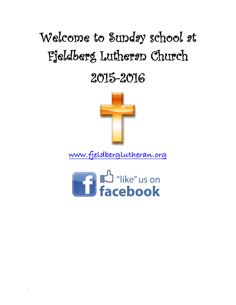## Welcome to Sunday school at Fjeldberg Lutheran Church

## 2015-2016



**www.fjeldberglutheran.org**



.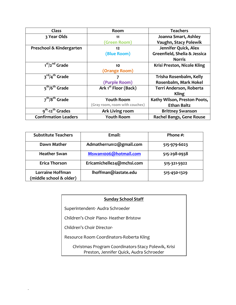| <b>Class</b>                             | Room                             | <b>Teachers</b>              |
|------------------------------------------|----------------------------------|------------------------------|
| 3 Year Olds                              | 11                               | Joanna Smart, Ashley         |
|                                          | (Green Room)                     | Vaughn, Stacy Polewik        |
| Preschool & Kindergarten                 | 12                               | Jennifer Quick, Alex         |
|                                          | (Blue Room)                      | Greenfield, Shelia & Jessica |
|                                          |                                  | <b>Norris</b>                |
| $\overline{1^{st}/2}^{nd}$ Grade         | 10                               | Krisi Preston, Nicole Kling  |
|                                          | (Orange Room)                    |                              |
| 3 <sup>rd</sup> /4 <sup>th</sup> Grade   |                                  | Trisha Rosenbalm, Kelly      |
|                                          | (Purple Room)                    | Rosenbalm, Mark Hokel        |
| 5 <sup>th</sup> /6 <sup>th</sup> Grade   | Ark 1 <sup>st</sup> Floor (Back) | Terri Anderson, Roberta      |
|                                          |                                  | <b>Kling</b>                 |
| $\overline{7^{th}/8^{th}}$ Grade         | <b>Youth Room</b>                | Kathy Wilson, Preston Poots, |
|                                          | (Gray room, room with couches)   | <b>Ethan Baltz</b>           |
| 9 <sup>th</sup> -12 <sup>th</sup> Grades | Ark Living room                  | <b>Brittney Swanson</b>      |
| <b>Confirmation Leaders</b>              | <b>Youth Room</b>                | Rachel Bangs, Gene Rouse     |

| <b>Substitute Teachers</b>                         | Email:                    | Phone $\#$ : |
|----------------------------------------------------|---------------------------|--------------|
| Dawn Mather                                        | Admatherrun12@gmail.com   | 515-979-6023 |
| <b>Heather Swan</b>                                | Mswan1006@hotmail.com     | 515-298-0938 |
| <b>Erica Thorson</b>                               | Ericamichelle24@mchsi.com | 515-321-5922 |
| <b>Lorraine Hoffman</b><br>(middle school & older) | lhoffman@iastate.edu      | 515-450-1329 |

## **Sunday School Staff**

Superintendent- Audra Schroeder

Children's Choir Piano- Heather Bristow

Children's Choir Director-

.

Resource Room Coordinators-Roberta Kling

Christmas Program Coordinators-Stacy Polewik, Krisi Preston, Jennifer Quick, Audra Schroeder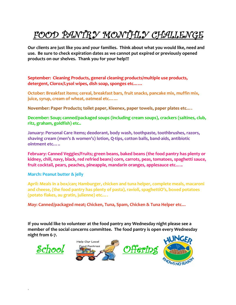## FOOD PANTRY MONTHLY CHALLENGE

**Our clients are just like you and your families. Think about what you would like, need and use. Be sure to check expiration dates as we cannot put expired or previously opened products on our shelves. Thank you for your help!!!**

**September: Cleaning Products, general cleaning products/multiple use products, detergent, Clorox/Lysol wipes, dish soap, sponges etc……**

**October: Breakfast items; cereal, breakfast bars, fruit snacks, pancake mix, muffin mix, juice, syrup, cream of wheat, oatmeal etc……**

**November: Paper Products; toilet paper, Kleenex, paper towels, paper plates etc….**

**December: Soup; canned/packaged soups (including cream soups), crackers (saltines, club, ritz, graham, goldfish) etc..**

**January: Personal Care Items; deodorant, body wash, toothpaste, toothbrushes, razors, shaving cream (men's & women's) lotion, Q-tips, cotton balls, band-aids, antibiotic ointment etc…..**

**February: Canned Veggies/Fruits; green beans, baked beans (the food pantry has plenty or kidney, chili, navy, black, red refried beans) corn, carrots, peas, tomatoes, spaghetti sauce, fruit cocktail, pears, peaches, pineapple, mandarin oranges, applesauce etc…..**

**March: Peanut butter & jelly**

**April: Meals in a box/can; Hamburger, chicken and tuna helper, complete meals, macaroni and cheese, (the food pantry has plenty of pasta), ravioli, spaghettiO's, boxed potatoes (potato flakes, au gratin, julienne) etc….**

**May: Canned/packaged meat; Chicken, Tuna, Spam, Chicken & Tuna Helper etc…**

**If you would like to volunteer at the food pantry any Wednesday night please see a member of the social concerns committee. The food pantry is open every Wednesday night from 6-7.** 

.